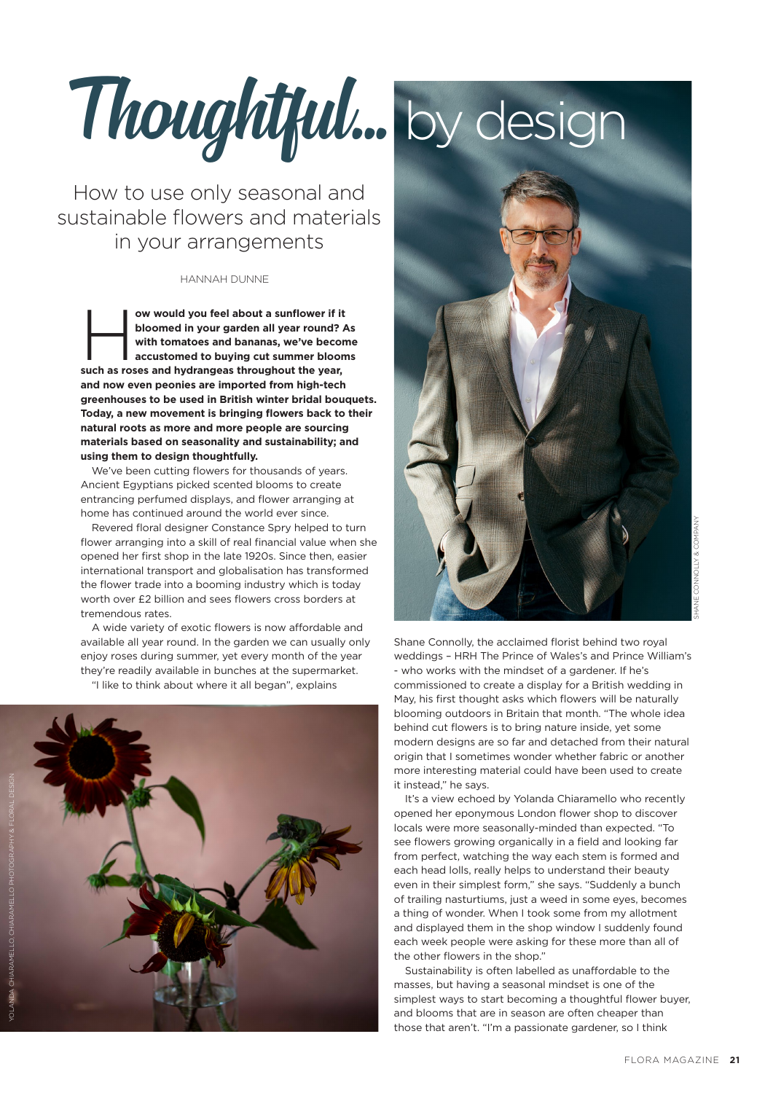Thoughtful... by design

How to use only seasonal and sustainable flowers and materials in your arrangements

#### Hannah Dunne

ow would you feel about a sunflower if it<br>bloomed in your garden all year round? A<br>with tomatoes and bananas, we've becom<br>accustomed to buying cut summer bloom **bloomed in your garden all year round? As with tomatoes and bananas, we've become accustomed to buying cut summer blooms such as roses and hydrangeas throughout the year, and now even peonies are imported from high-tech greenhouses to be used in British winter bridal bouquets. Today, a new movement is bringing flowers back to their natural roots as more and more people are sourcing materials based on seasonality and sustainability; and using them to design thoughtfully.**

We've been cutting flowers for thousands of years. Ancient Egyptians picked scented blooms to create entrancing perfumed displays, and flower arranging at home has continued around the world ever since.

Revered floral designer Constance Spry helped to turn flower arranging into a skill of real financial value when she opened her first shop in the late 1920s. Since then, easier international transport and globalisation has transformed the flower trade into a booming industry which is today worth over £2 billion and sees flowers cross borders at tremendous rates.

A wide variety of exotic flowers is now affordable and available all year round. In the garden we can usually only enjoy roses during summer, yet every month of the year they're readily available in bunches at the supermarket. "I like to think about where it all began", explains





Shane Connolly, the acclaimed florist behind two royal weddings – HRH The Prince of Wales's and Prince William's - who works with the mindset of a gardener. If he's commissioned to create a display for a British wedding in May, his first thought asks which flowers will be naturally blooming outdoors in Britain that month. "The whole idea behind cut flowers is to bring nature inside, yet some modern designs are so far and detached from their natural origin that I sometimes wonder whether fabric or another more interesting material could have been used to create it instead," he says.

It's a view echoed by Yolanda Chiaramello who recently opened her eponymous London flower shop to discover locals were more seasonally-minded than expected. "To see flowers growing organically in a field and looking far from perfect, watching the way each stem is formed and each head lolls, really helps to understand their beauty even in their simplest form," she says. "Suddenly a bunch of trailing nasturtiums, just a weed in some eyes, becomes a thing of wonder. When I took some from my allotment and displayed them in the shop window I suddenly found each week people were asking for these more than all of the other flowers in the shop."

Sustainability is often labelled as unaffordable to the masses, but having a seasonal mindset is one of the simplest ways to start becoming a thoughtful flower buyer, and blooms that are in season are often cheaper than those that aren't. "I'm a passionate gardener, so I think